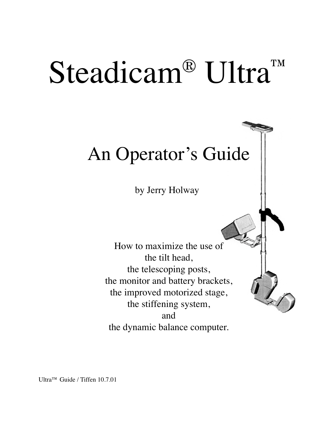# Steadicam<sup>®</sup> Ultra™

# An Operator's Guide

by Jerry Holway

How to maximize the use of the tilt head, the telescoping posts, the monitor and battery brackets, the improved motorized stage, the stiffening system, and the dynamic balance computer.

Ultra™ Guide / Tiffen 10.7.01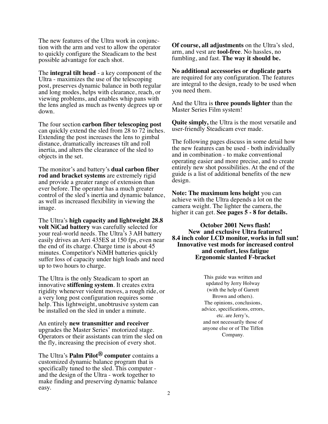The new features of the Ultra work in conjunction with the arm and vest to allow the operator to quickly configure the Steadicam to the best possible advantage for each shot.

The **integral tilt head** - a key component of the Ultra - maximizes the use of the telescoping post, preserves dynamic balance in both regular and long modes, helps with clearance, reach, or viewing problems, and enables whip pans with the lens angled as much as twenty degrees up or down.

The four section **carbon fiber telescoping post** can quickly extend the sled from 28 to 72 inches. Extending the post increases the lens to gimbal distance, dramatically increases tilt and roll inertia, and alters the clearance of the sled to objects in the set.

The monitor's and battery's **dual carbon fiber rod and bracket systems** are extremely rigid and provide a greater range of extension than ever before. The operator has a much greater control of the sled's inertia and dynamic balance, as well as increased flexibility in viewing the image.

The Ultra's **high capacity and lightweight 28.8 volt NiCad battery** was carefully selected for your real-world needs. The Ultra's 3 AH battery easily drives an Arri 435ES at 150 fps, even near the end of its charge. Charge time is about 45 minutes. Competitor's NiMH batteries quickly suffer loss of capacity under high loads and need up to two hours to charge.

The Ultra is the only Steadicam to sport an innovative **stiffening system**. It creates extra rigidity whenever violent moves, a rough ride, or a very long post configuration requires some help. This lightweight, unobtrusive system can be installed on the sled in under a minute.

An entirely **new transmitter and receiver** upgrades the Master Series' motorized stage. Operators or their assistants can trim the sled on the fly, increasing the precision of every shot.

The Ultra's **Palm Pilot® computer** contains a customized dynamic balance program that is specifically tuned to the sled. This computer and the design of the Ultra - work together to make finding and preserving dynamic balance easy.

**Of course, all adjustments** on the Ultra's sled, arm, and vest are **tool-free**. No hassles, no fumbling, and fast. **The way it should be.**

**No additional accessories or duplicate parts** are required for any configuration. The features are integral to the design, ready to be used when you need them.

And the Ultra is **three pounds lighter** than the Master Series Film system!

**Quite simply,** the Ultra is the most versatile and user-friendly Steadicam ever made.

The following pages discuss in some detail how the new features can be used - both individually and in combination - to make conventional operating easier and more precise, and to create entirely new shot possibilities. At the end of the guide is a list of additional benefits of the new design.

**Note: The maximum lens height** you can achieve with the Ultra depends a lot on the camera weight. The lighter the camera, the higher it can get. **See pages 5 - 8 for details.**

**October 2001 News flash! New and exclusive Ultra features! 8.4 inch color LCD monitor, works in full sun! Innovative vest mods for increased control and comfort, less fatigue Ergonomic slanted F-bracket**

> This guide was written and updated by Jerry Holway (with the help of Garrett Brown and others). The opinions, conclusions, advice, specifications, errors, etc. are Jerry's, and not necessarily those of anyone else or of The Tiffen Company.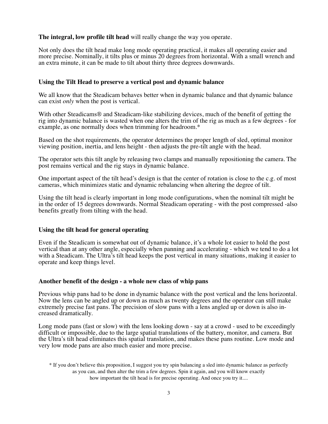#### **The integral, low profile tilt head** will really change the way you operate.

Not only does the tilt head make long mode operating practical, it makes all operating easier and more precise. Nominally, it tilts plus or minus 20 degrees from horizontal. With a small wrench and an extra minute, it can be made to tilt about thirty three degrees downwards.

#### **Using the Tilt Head to preserve a vertical post and dynamic balance**

We all know that the Steadicam behaves better when in dynamic balance and that dynamic balance can exist *only* when the post is vertical.

With other Steadicams® and Steadicam-like stabilizing devices, much of the benefit of getting the rig into dynamic balance is wasted when one alters the trim of the rig as much as a few degrees - for example, as one normally does when trimming for headroom.\*

Based on the shot requirements, the operator determines the proper length of sled, optimal monitor viewing position, inertia, and lens height - then adjusts the pre-tilt angle with the head.

The operator sets this tilt angle by releasing two clamps and manually repositioning the camera. The post remains vertical and the rig stays in dynamic balance.

One important aspect of the tilt head's design is that the center of rotation is close to the c.g. of most cameras, which minimizes static and dynamic rebalancing when altering the degree of tilt.

Using the tilt head is clearly important in long mode configurations, when the nominal tilt might be in the order of 15 degrees downwards. Normal Steadicam operating - with the post compressed -also benefits greatly from tilting with the head.

#### **Using the tilt head for general operating**

Even if the Steadicam is somewhat out of dynamic balance, it's a whole lot easier to hold the post vertical than at any other angle, especially when panning and accelerating - which we tend to do a lot with a Steadicam. The Ultra's tilt head keeps the post vertical in many situations, making it easier to operate and keep things level.

#### **Another benefit of the design - a whole new class of whip pans**

Previous whip pans had to be done in dynamic balance with the post vertical and the lens horizontal. Now the lens can be angled up or down as much as twenty degrees and the operator can still make extremely precise fast pans. The precision of slow pans with a lens angled up or down is also increased dramatically.

Long mode pans (fast or slow) with the lens looking down - say at a crowd - used to be exceedingly difficult or impossible, due to the large spatial translations of the battery, monitor, and camera. But the Ultra's tilt head eliminates this spatial translation, and makes these pans routine. Low mode and very low mode pans are also much easier and more precise.

<sup>\*</sup> If you don't believe this proposition, I suggest you try spin balancing a sled into dynamic balance as perfectly as you can, and then alter the trim a few degrees. Spin it again, and you will know exactly how important the tilt head is for precise operating. And once you try it....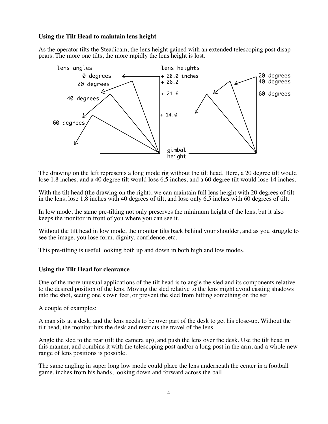# **Using the Tilt Head to maintain lens height**

As the operator tilts the Steadicam, the lens height gained with an extended telescoping post disappears. The more one tilts, the more rapidly the lens height is lost.



The drawing on the left represents a long mode rig without the tilt head. Here, a 20 degree tilt would lose 1.8 inches, and a 40 degree tilt would lose 6.5 inches, and a 60 degree tilt would lose 14 inches.

With the tilt head (the drawing on the right), we can maintain full lens height with 20 degrees of tilt in the lens, lose 1.8 inches with 40 degrees of tilt, and lose only 6.5 inches with 60 degrees of tilt.

In low mode, the same pre-tilting not only preserves the minimum height of the lens, but it also keeps the monitor in front of you where you can see it.

Without the tilt head in low mode, the monitor tilts back behind your shoulder, and as you struggle to see the image, you lose form, dignity, confidence, etc.

This pre-tilting is useful looking both up and down in both high and low modes.

#### **Using the Tilt Head for clearance**

One of the more unusual applications of the tilt head is to angle the sled and its components relative to the desired position of the lens. Moving the sled relative to the lens might avoid casting shadows into the shot, seeing one's own feet, or prevent the sled from hitting something on the set.

A couple of examples:

A man sits at a desk, and the lens needs to be over part of the desk to get his close-up. Without the tilt head, the monitor hits the desk and restricts the travel of the lens.

Angle the sled to the rear (tilt the camera up), and push the lens over the desk. Use the tilt head in this manner, and combine it with the telescoping post and/or a long post in the arm, and a whole new range of lens positions is possible.

The same angling in super long low mode could place the lens underneath the center in a football game, inches from his hands, looking down and forward across the ball.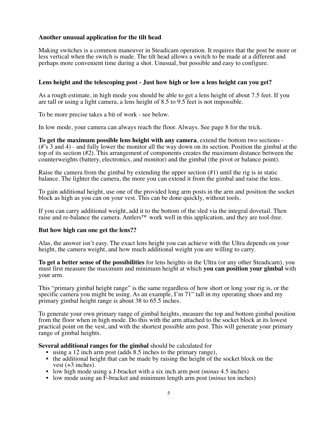# **Another unusual application for the tilt head**

Making switches is a common maneuver in Steadicam operation. It requires that the post be more or less vertical when the switch is made. The tilt head allows a switch to be made at a different and perhaps more convenient time during a shot. Unusual, but possible and easy to configure.

#### **Lens height and the telescoping post - Just how high or low a lens height can you get?**

As a rough estimate, in high mode you should be able to get a lens height of about 7.5 feet. If you are tall or using a light camera, a lens height of 8.5 to 9.5 feet is not impossible.

To be more precise takes a bit of work - see below.

In low mode, your camera can always reach the floor. Always. See page 8 for the trick.

**To get the maximum possible lens height with any camera**, extend the bottom two sections - (#'s 3 and 4) - and fully lower the monitor all the way down on its section. Position the gimbal at the top of its section (#2). This arrangement of components creates the maximum distance between the counterweights (battery, electronics, and monitor) and the gimbal (the pivot or balance point).

Raise the camera from the gimbal by extending the upper section  $(\#1)$  until the rig is in static balance. The lighter the camera, the more you can extend it from the gimbal and raise the lens.

To gain additional height, use one of the provided long arm posts in the arm and position the socket block as high as you can on your vest. This can be done quickly, without tools.

If you can carry additional weight, add it to the bottom of the sled via the integral dovetail. Then raise and re-balance the camera. Antlers™ work well in this application, and they are tool-free.

#### **But how high can one get the lens??**

Alas, the answer isn't easy. The exact lens height you can achieve with the Ultra depends on your height, the camera weight, and how much additional weight you are willing to carry.

**To get a better sense of the possibilities** for lens heights in the Ultra (or any other Steadicam), you must first measure the maximum and minimum height at which **you can position your gimbal** with your arm.

This "primary gimbal height range" is the same regardless of how short or long your rig is, or the specific camera you might be using. As an example, I'm 71" tall in my operating shoes and my primary gimbal height range is about 38 to 65.5 inches.

To generate your own primary range of gimbal heights, measure the top and bottom gimbal position from the floor when in high mode. Do this with the arm attached to the socket block at its lowest practical point on the vest, and with the shortest possible arm post. This will generate your primary range of gimbal heights.

**Several additional ranges for the gimbal** should be calculated for

- using a 12 inch arm post (adds 8.5 inches to the primary range),
- the additional height that can be made by raising the height of the socket block on the vest  $(+3$  inches).
- low high mode using a J-bracket with a six inch arm post (*minus* 4.5 inches)
- low mode using an F-bracket and minimum length arm post (*minus* ten inches)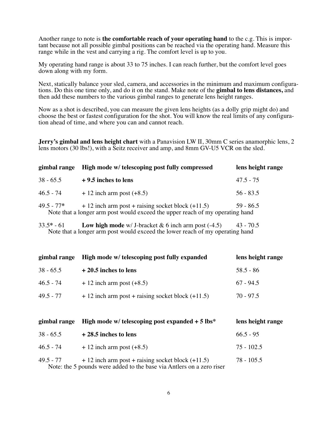Another range to note is **the comfortable reach of your operating hand** to the c.g. This is important because not all possible gimbal positions can be reached via the operating hand. Measure this range while in the vest and carrying a rig. The comfort level is up to you.

My operating hand range is about 33 to 75 inches. I can reach further, but the comfort level goes down along with my form.

Next, statically balance your sled, camera, and accessories in the minimum and maximum configurations. Do this one time only, and do it on the stand. Make note of the **gimbal to lens distances,** and then add these numbers to the various gimbal ranges to generate lens height ranges.

Now as a shot is described, you can measure the given lens heights (as a dolly grip might do) and choose the best or fastest configuration for the shot. You will know the real limits of any configuration ahead of time, and where you can and cannot reach.

**Jerry's gimbal and lens height chart** with a Panavision LW II, 30mm C series anamorphic lens, 2 lens motors (30 lbs!), with a Seitz receiver and amp, and 8mm GV-U5 VCR on the sled.

| gimbal range | High mode w/ telescoping post fully compressed                                                                                      | lens height range |
|--------------|-------------------------------------------------------------------------------------------------------------------------------------|-------------------|
| $38 - 65.5$  | $+9.5$ inches to lens                                                                                                               | $47.5 - 75$       |
| $46.5 - 74$  | $+12$ inch arm post $(+8.5)$                                                                                                        | $56 - 83.5$       |
| $49.5 - 77*$ | $+12$ inch arm post + raising socket block (+11.5)<br>Note that a longer arm post would exceed the upper reach of my operating hand | $59 - 86.5$       |

33.5**\*** - 61 **Low high mode** w/ J-bracket & 6 inch arm post (-4.5) 43 - 70.5 Note that a longer arm post would exceed the lower reach of my operating hand

| gimbal range | High mode w/ telescoping post fully expanded         | lens height range |
|--------------|------------------------------------------------------|-------------------|
| $38 - 65.5$  | $+20.5$ inches to lens                               | $58.5 - 86$       |
| $46.5 - 74$  | $+12$ inch arm post (+8.5)                           | $67 - 94.5$       |
| $49.5 - 77$  | $+12$ inch arm post + raising socket block $(+11.5)$ | $70 - 97.5$       |

| gimbal range | High mode w/ telescoping post expanded $+ 5$ lbs*                                                                           | lens height range |
|--------------|-----------------------------------------------------------------------------------------------------------------------------|-------------------|
| $38 - 65.5$  | $+28.5$ inches to lens                                                                                                      | $66.5 - 95$       |
| $46.5 - 74$  | $+12$ inch arm post (+8.5)                                                                                                  | $75 - 102.5$      |
| 49.5 - 77    | $+12$ inch arm post + raising socket block (+11.5)<br>Note: the 5 pounds were added to the base via Antlers on a zero riser | 78 - 105.5        |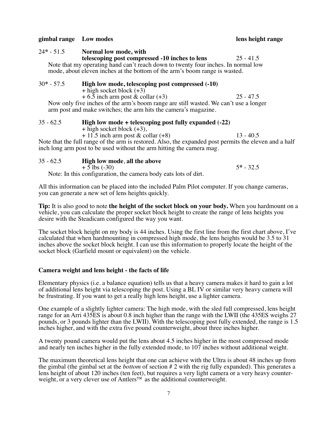#### **gimbal range Low modes lens height range**

24**\*** - 51.5 **Normal low mode, with telescoping post compressed -10 inches to lens** 25 - 41.5 Note that my operating hand can't reach down to twenty four inches. In normal low mode, about eleven inches at the bottom of the arm's boom range is wasted.

# 30**\*** - 57.5 **High low mode, telescoping post compressed (-10)**  $+$  high socket block  $(+3)$  $+ 6.5$  inch arm post & collar  $(+3)$  25 - 47.5

Now only five inches of the arm's boom range are still wasted. We can't use a longer arm post and make switches; the arm hits the camera's magazine.

# 35 - 62.5 **High low mode + telescoping post fully expanded (-22)**

+ high socket block (+3),

 $+ 11.5$  inch arm post & collar  $(+8)$  13 - 40.5

Note that the full range of the arm is restored. Also, the expanded post permits the eleven and a half inch long arm post to be used without the arm hitting the camera mag.

#### 35 - 62.5 **High low mode**, **all the above**

 $+ 5$  lbs (-30)  $5* - 32.5$ 

Note: In this configuration, the camera body eats lots of dirt.

All this information can be placed into the included Palm Pilot computer. If you change cameras, you can generate a new set of lens heights quickly.

**Tip:** It is also good to note **the height of the socket block on your body.** When you hardmount on a vehicle, you can calculate the proper socket block height to create the range of lens heights you desire with the Steadicam configured the way you want.

The socket block height on my body is 44 inches. Using the first line from the first chart above, I've calculated that when hardmounting in compressed high mode, the lens heights would be 3.5 to 31 inches above the socket block height. I can use this information to properly locate the height of the socket block (Garfield mount or equivalent) on the vehicle.

# **Camera weight and lens height - the facts of life**

Elementary physics (i.e. a balance equation) tells us that a heavy camera makes it hard to gain a lot of additional lens height via telescoping the post. Using a BL IV or similar very heavy camera will be frustrating. If you want to get a really high lens height, use a lighter camera.

One example of a slightly lighter camera: The high mode, with the sled full compressed, lens height range for an Arri 435ES is about 0.8 inch higher than the range with the LWII (the 435ES weighs 27 pounds, or 3 pounds lighter than the LWII). With the telescoping post fully extended, the range is 1.5 inches higher, and with the extra five pound counterweight, about three inches higher.

A twenty pound camera would put the lens about 4.5 inches higher in the most compressed mode and nearly ten inches higher in the fully extended mode, to 107 inches without additional weight.

The maximum theoretical lens height that one can achieve with the Ultra is about 48 inches up from the gimbal (the gimbal set at the *bottom* of section # 2 with the rig fully expanded). This generates a lens height of about 120 inches (ten feet), but requires a very light camera or a very heavy counterweight, or a very clever use of Antlers™ as the additional counterweight.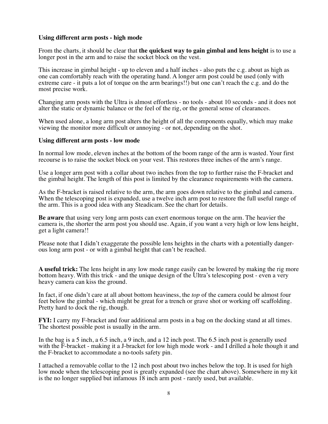#### **Using different arm posts - high mode**

From the charts, it should be clear that **the quickest way to gain gimbal and lens height** is to use a longer post in the arm and to raise the socket block on the vest.

This increase in gimbal height - up to eleven and a half inches - also puts the c.g. about as high as one can comfortably reach with the operating hand. A longer arm post could be used (only with extreme care - it puts a lot of torque on the arm bearings!!) but one can't reach the c.g. and do the most precise work.

Changing arm posts with the Ultra is almost effortless - no tools - about 10 seconds - and it does not alter the static or dynamic balance or the feel of the rig, or the general sense of clearances.

When used alone, a long arm post alters the height of all the components equally, which may make viewing the monitor more difficult or annoying - or not, depending on the shot.

#### **Using different arm posts - low mode**

In normal low mode, eleven inches at the bottom of the boom range of the arm is wasted. Your first recourse is to raise the socket block on your vest. This restores three inches of the arm's range.

Use a longer arm post with a collar about two inches from the top to further raise the F-bracket and the gimbal height. The length of this post is limited by the clearance requirements with the camera.

As the F-bracket is raised relative to the arm, the arm goes down relative to the gimbal and camera. When the telescoping post is expanded, use a twelve inch arm post to restore the full useful range of the arm. This is a good idea with any Steadicam. See the chart for details.

**Be aware** that using very long arm posts can exert enormous torque on the arm. The heavier the camera is, the shorter the arm post you should use. Again, if you want a very high or low lens height, get a light camera!!

Please note that I didn't exaggerate the possible lens heights in the charts with a potentially dangerous long arm post - or with a gimbal height that can't be reached.

**A useful trick:** The lens height in any low mode range easily can be lowered by making the rig more bottom heavy. With this trick - and the unique design of the Ultra's telescoping post - even a very heavy camera can kiss the ground.

In fact, if one didn't care at all about bottom heaviness, the *top* of the camera could be almost four feet below the gimbal - which might be great for a trench or grave shot or working off scaffolding. Pretty hard to dock the rig, though.

**FYI:** I carry my F-bracket and four additional arm posts in a bag on the docking stand at all times. The shortest possible post is usually in the arm.

In the bag is a 5 inch, a 6.5 inch, a 9 inch, and a 12 inch post. The 6.5 inch post is generally used with the F-bracket - making it a J-bracket for low high mode work - and I drilled a hole though it and the F-bracket to accommodate a no-tools safety pin.

I attached a removable collar to the 12 inch post about two inches below the top. It is used for high low mode when the telescoping post is greatly expanded (see the chart above). Somewhere in my kit is the no longer supplied but infamous 18 inch arm post - rarely used, but available.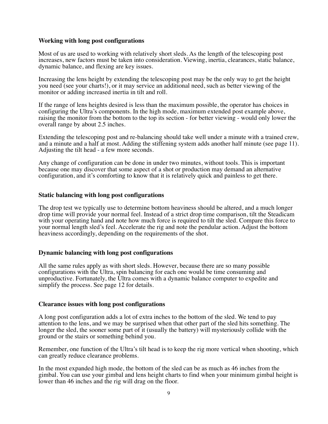#### **Working with long post configurations**

Most of us are used to working with relatively short sleds. As the length of the telescoping post increases, new factors must be taken into consideration. Viewing, inertia, clearances, static balance, dynamic balance, and flexing are key issues.

Increasing the lens height by extending the telescoping post may be the only way to get the height you need (see your charts!), or it may service an additional need, such as better viewing of the monitor or adding increased inertia in tilt and roll.

If the range of lens heights desired is less than the maximum possible, the operator has choices in configuring the Ultra's components. In the high mode, maximum extended post example above, raising the monitor from the bottom to the top its section - for better viewing - would only lower the overall range by about 2.5 inches.

Extending the telescoping post and re-balancing should take well under a minute with a trained crew, and a minute and a half at most. Adding the stiffening system adds another half minute (see page 11). Adjusting the tilt head - a few more seconds.

Any change of configuration can be done in under two minutes, without tools. This is important because one may discover that some aspect of a shot or production may demand an alternative configuration, and it's comforting to know that it is relatively quick and painless to get there.

#### **Static balancing with long post configurations**

The drop test we typically use to determine bottom heaviness should be altered, and a much longer drop time will provide your normal feel. Instead of a strict drop time comparison, tilt the Steadicam with your operating hand and note how much force is required to tilt the sled. Compare this force to your normal length sled's feel. Accelerate the rig and note the pendular action. Adjust the bottom heaviness accordingly, depending on the requirements of the shot.

#### **Dynamic balancing with long post configurations**

All the same rules apply as with short sleds. However, because there are so many possible configurations with the Ultra, spin balancing for each one would be time consuming and unproductive. Fortunately, the Ultra comes with a dynamic balance computer to expedite and simplify the process. See page 12 for details.

#### **Clearance issues with long post configurations**

A long post configuration adds a lot of extra inches to the bottom of the sled. We tend to pay attention to the lens, and we may be surprised when that other part of the sled hits something. The longer the sled, the sooner some part of it (usually the battery) will mysteriously collide with the ground or the stairs or something behind you.

Remember, one function of the Ultra's tilt head is to keep the rig more vertical when shooting, which can greatly reduce clearance problems.

In the most expanded high mode, the bottom of the sled can be as much as 46 inches from the gimbal. You can use your gimbal and lens height charts to find when your minimum gimbal height is lower than 46 inches and the rig will drag on the floor.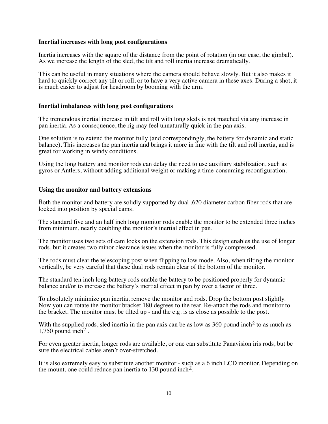#### **Inertial increases with long post configurations**

Inertia increases with the square of the distance from the point of rotation (in our case, the gimbal). As we increase the length of the sled, the tilt and roll inertia increase dramatically.

This can be useful in many situations where the camera should behave slowly. But it also makes it hard to quickly correct any tilt or roll, or to have a very active camera in these axes. During a shot, it is much easier to adjust for headroom by booming with the arm.

#### **Inertial imbalances with long post configurations**

The tremendous inertial increase in tilt and roll with long sleds is not matched via any increase in pan inertia. As a consequence, the rig may feel unnaturally quick in the pan axis.

One solution is to extend the monitor fully (and correspondingly, the battery for dynamic and static balance). This increases the pan inertia and brings it more in line with the tilt and roll inertia, and is great for working in windy conditions.

Using the long battery and monitor rods can delay the need to use auxiliary stabilization, such as gyros or Antlers, without adding additional weight or making a time-consuming reconfiguration.

#### **Using the monitor and battery extensions**

Both the monitor and battery are solidly supported by dual .620 diameter carbon fiber rods that are locked into position by special cams.

The standard five and an half inch long monitor rods enable the monitor to be extended three inches from minimum, nearly doubling the monitor's inertial effect in pan.

The monitor uses two sets of cam locks on the extension rods. This design enables the use of longer rods, but it creates two minor clearance issues when the monitor is fully compressed.

The rods must clear the telescoping post when flipping to low mode. Also, when tilting the monitor vertically, be very careful that these dual rods remain clear of the bottom of the monitor.

The standard ten inch long battery rods enable the battery to be positioned properly for dynamic balance and/or to increase the battery's inertial effect in pan by over a factor of three.

To absolutely minimize pan inertia, remove the monitor and rods. Drop the bottom post slightly. Now you can rotate the monitor bracket 180 degrees to the rear. Re-attach the rods and monitor to the bracket. The monitor must be tilted up - and the c.g. is as close as possible to the post.

With the supplied rods, sled inertia in the pan axis can be as low as  $360$  pound inch<sup>2</sup> to as much as 1,750 pound inch<sup>2</sup>.

For even greater inertia, longer rods are available, or one can substitute Panavision iris rods, but be sure the electrical cables aren't over-stretched.

It is also extremely easy to substitute another monitor - such as a 6 inch LCD monitor. Depending on the mount, one could reduce pan inertia to 130 pound inch<sup>2</sup>.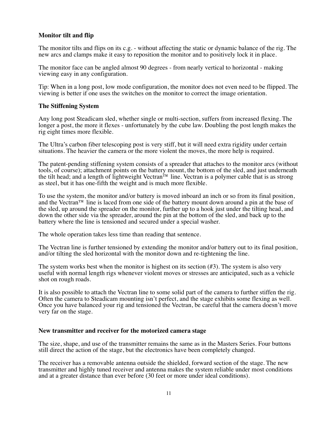# **Monitor tilt and flip**

The monitor tilts and flips on its c.g. - without affecting the static or dynamic balance of the rig. The new arcs and clamps make it easy to reposition the monitor and to positively lock it in place.

The monitor face can be angled almost 90 degrees - from nearly vertical to horizontal - making viewing easy in any configuration.

Tip: When in a long post, low mode configuration, the monitor does not even need to be flipped. The viewing is better if one uses the switches on the monitor to correct the image orientation.

#### **The Stiffening System**

Any long post Steadicam sled, whether single or multi-section, suffers from increased flexing. The longer a post, the more it flexes - unfortunately by the cube law. Doubling the post length makes the rig eight times more flexible.

The Ultra's carbon fiber telescoping post is very stiff, but it will need extra rigidity under certain situations. The heavier the camera or the more violent the moves, the more help is required.

The patent-pending stiffening system consists of a spreader that attaches to the monitor arcs (without tools, of course); attachment points on the battery mount, the bottom of the sled, and just underneath the tilt head; and a length of lightweight Vectran<sup> $\bar{r}$ </sup> line. Vectran is a polymer cable that is as strong as steel, but it has one-fifth the weight and is much more flexible.

To use the system, the monitor and/or battery is moved inboard an inch or so from its final position, and the Vectran™ line is laced from one side of the battery mount down around a pin at the base of the sled, up around the spreader on the monitor, further up to a hook just under the tilting head, and down the other side via the spreader, around the pin at the bottom of the sled, and back up to the battery where the line is tensioned and secured under a special washer.

The whole operation takes less time than reading that sentence.

The Vectran line is further tensioned by extending the monitor and/or battery out to its final position, and/or tilting the sled horizontal with the monitor down and re-tightening the line.

The system works best when the monitor is highest on its section  $(\#3)$ . The system is also very useful with normal length rigs whenever violent moves or stresses are anticipated, such as a vehicle shot on rough roads.

It is also possible to attach the Vectran line to some solid part of the camera to further stiffen the rig. Often the camera to Steadicam mounting isn't perfect, and the stage exhibits some flexing as well. Once you have balanced your rig and tensioned the Vectran, be careful that the camera doesn't move very far on the stage.

#### **New transmitter and receiver for the motorized camera stage**

The size, shape, and use of the transmitter remains the same as in the Masters Series. Four buttons still direct the action of the stage, but the electronics have been completely changed.

The receiver has a removable antenna outside the shielded, forward section of the stage. The new transmitter and highly tuned receiver and antenna makes the system reliable under most conditions and at a greater distance than ever before (30 feet or more under ideal conditions).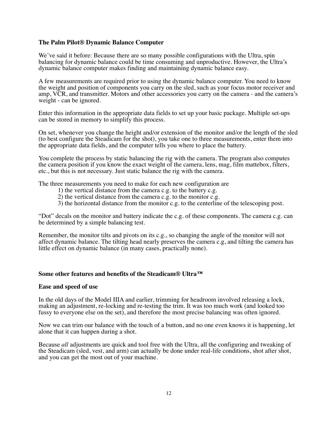# **The Palm Pilot® Dynamic Balance Computer**

We've said it before: Because there are so many possible configurations with the Ultra, spin balancing for dynamic balance could be time consuming and unproductive. However, the Ultra's dynamic balance computer makes finding and maintaining dynamic balance easy.

A few measurements are required prior to using the dynamic balance computer. You need to know the weight and position of components you carry on the sled, such as your focus motor receiver and amp, VCR, and transmitter. Motors and other accessories you carry on the camera - and the camera's weight - can be ignored.

Enter this information in the appropriate data fields to set up your basic package. Multiple set-ups can be stored in memory to simplify this process.

On set, whenever you change the height and/or extension of the monitor and/or the length of the sled (to best configure the Steadicam for the shot), you take one to three measurements, enter them into the appropriate data fields, and the computer tells you where to place the battery.

You complete the process by static balancing the rig with the camera. The program also computes the camera position if you know the exact weight of the camera, lens, mag, film mattebox, filters, etc., but this is not necessary. Just static balance the rig with the camera.

The three measurements you need to make for each new configuration are

- 1) the vertical distance from the camera c.g. to the battery c.g.
- 2) the vertical distance from the camera c.g. to the monitor c.g.
- 3) the horizontal distance from the monitor c.g. to the centerline of the telescoping post.

"Dot" decals on the monitor and battery indicate the c.g. of these components. The camera c.g. can be determined by a simple balancing test.

Remember, the monitor tilts and pivots on its c.g., so changing the angle of the monitor will not affect dynamic balance. The tilting head nearly preserves the camera c.g, and tilting the camera has little effect on dynamic balance (in many cases, practically none).

#### **Some other features and benefits of the Steadicam® Ultra™**

#### **Ease and speed of use**

In the old days of the Model IIIA and earlier, trimming for headroom involved releasing a lock, making an adjustment, re-locking and re-testing the trim. It was too much work (and looked too fussy to everyone else on the set), and therefore the most precise balancing was often ignored.

Now we can trim our balance with the touch of a button, and no one even knows it is happening, let alone that it can happen during a shot.

Because *all* adjustments are quick and tool free with the Ultra, all the configuring and tweaking of the Steadicam (sled, vest, and arm) can actually be done under real-life conditions, shot after shot, and you can get the most out of your machine.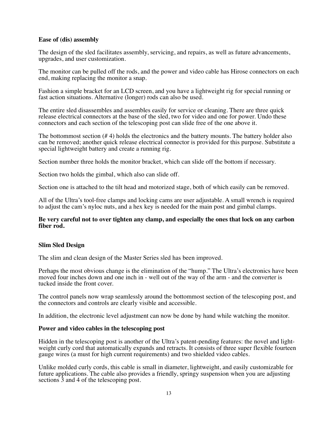#### **Ease of (dis) assembly**

The design of the sled facilitates assembly, servicing, and repairs, as well as future advancements, upgrades, and user customization.

The monitor can be pulled off the rods, and the power and video cable has Hirose connectors on each end, making replacing the monitor a snap.

Fashion a simple bracket for an LCD screen, and you have a lightweight rig for special running or fast action situations. Alternative (longer) rods can also be used.

The entire sled disassembles and assembles easily for service or cleaning. There are three quick release electrical connectors at the base of the sled, two for video and one for power. Undo these connectors and each section of the telescoping post can slide free of the one above it.

The bottommost section (# 4) holds the electronics and the battery mounts. The battery holder also can be removed; another quick release electrical connector is provided for this purpose. Substitute a special lightweight battery and create a running rig.

Section number three holds the monitor bracket, which can slide off the bottom if necessary.

Section two holds the gimbal, which also can slide off.

Section one is attached to the tilt head and motorized stage, both of which easily can be removed.

All of the Ultra's tool-free clamps and locking cams are user adjustable. A small wrench is required to adjust the cam's nyloc nuts, and a hex key is needed for the main post and gimbal clamps.

#### **Be very careful not to over tighten any clamp, and especially the ones that lock on any carbon fiber rod.**

#### **Slim Sled Design**

The slim and clean design of the Master Series sled has been improved.

Perhaps the most obvious change is the elimination of the "hump." The Ultra's electronics have been moved four inches down and one inch in - well out of the way of the arm - and the converter is tucked inside the front cover.

The control panels now wrap seamlessly around the bottommost section of the telescoping post, and the connectors and controls are clearly visible and accessible.

In addition, the electronic level adjustment can now be done by hand while watching the monitor.

#### **Power and video cables in the telescoping post**

Hidden in the telescoping post is another of the Ultra's patent-pending features: the novel and lightweight curly cord that automatically expands and retracts. It consists of three super flexible fourteen gauge wires (a must for high current requirements) and two shielded video cables.

Unlike molded curly cords, this cable is small in diameter, lightweight, and easily customizable for future applications. The cable also provides a friendly, springy suspension when you are adjusting sections 3 and 4 of the telescoping post.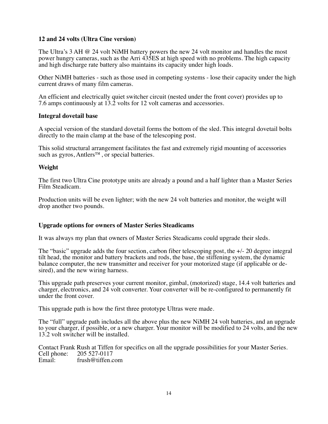# **12 and 24 volts (Ultra Cine version)**

The Ultra's 3 AH @ 24 volt NiMH battery powers the new 24 volt monitor and handles the most power hungry cameras, such as the Arri 435ES at high speed with no problems. The high capacity and high discharge rate battery also maintains its capacity under high loads.

Other NiMH batteries - such as those used in competing systems - lose their capacity under the high current draws of many film cameras.

An efficient and electrically quiet switcher circuit (nested under the front cover) provides up to 7.6 amps continuously at 13.2 volts for 12 volt cameras and accessories.

# **Integral dovetail base**

A special version of the standard dovetail forms the bottom of the sled. This integral dovetail bolts directly to the main clamp at the base of the telescoping post.

This solid structural arrangement facilitates the fast and extremely rigid mounting of accessories such as gyros, Antlers<sup>™</sup>, or special batteries.

#### **Weight**

The first two Ultra Cine prototype units are already a pound and a half lighter than a Master Series Film Steadicam.

Production units will be even lighter; with the new 24 volt batteries and monitor, the weight will drop another two pounds.

# **Upgrade options for owners of Master Series Steadicams**

It was always my plan that owners of Master Series Steadicams could upgrade their sleds.

The "basic" upgrade adds the four section, carbon fiber telescoping post, the +/- 20 degree integral tilt head, the monitor and battery brackets and rods, the base, the stiffening system, the dynamic balance computer, the new transmitter and receiver for your motorized stage (if applicable or desired), and the new wiring harness.

This upgrade path preserves your current monitor, gimbal, (motorized) stage, 14.4 volt batteries and charger, electronics, and 24 volt converter. Your converter will be re-configured to permanently fit under the front cover.

This upgrade path is how the first three prototype Ultras were made.

The "full" upgrade path includes all the above plus the new NiMH 24 volt batteries, and an upgrade to your charger, if possible, or a new charger. Your monitor will be modified to 24 volts, and the new 13.2 volt switcher will be installed.

Contact Frank Rush at Tiffen for specifics on all the upgrade possibilities for your Master Series. Cell phone: 205 527-0117<br>Email: frush@tiffen.c frush@tiffen.com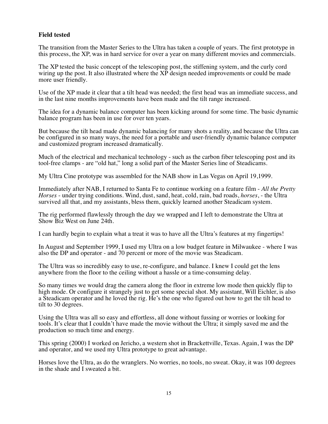# **Field tested**

The transition from the Master Series to the Ultra has taken a couple of years. The first prototype in this process, the XP, was in hard service for over a year on many different movies and commercials.

The XP tested the basic concept of the telescoping post, the stiffening system, and the curly cord wiring up the post. It also illustrated where the XP design needed improvements or could be made more user friendly.

Use of the XP made it clear that a tilt head was needed; the first head was an immediate success, and in the last nine months improvements have been made and the tilt range increased.

The idea for a dynamic balance computer has been kicking around for some time. The basic dynamic balance program has been in use for over ten years.

But because the tilt head made dynamic balancing for many shots a reality, and because the Ultra can be configured in so many ways, the need for a portable and user-friendly dynamic balance computer and customized program increased dramatically.

Much of the electrical and mechanical technology - such as the carbon fiber telescoping post and its tool-free clamps - are "old hat," long a solid part of the Master Series line of Steadicams.

My Ultra Cine prototype was assembled for the NAB show in Las Vegas on April 19,1999.

Immediately after NAB, I returned to Santa Fe to continue working on a feature film - *All the Pretty Horses* - under trying conditions. Wind, dust, sand, heat, cold, rain, bad roads, *horses*, - the Ultra survived all that, and my assistants, bless them, quickly learned another Steadicam system.

The rig performed flawlessly through the day we wrapped and I left to demonstrate the Ultra at Show Biz West on June 24th.

I can hardly begin to explain what a treat it was to have all the Ultra's features at my fingertips!

In August and September 1999, I used my Ultra on a low budget feature in Milwaukee - where I was also the DP and operator - and 70 percent or more of the movie was Steadicam.

The Ultra was so incredibly easy to use, re-configure, and balance. I knew I could get the lens anywhere from the floor to the ceiling without a hassle or a time-consuming delay.

So many times we would drag the camera along the floor in extreme low mode then quickly flip to high mode. Or configure it strangely just to get some special shot. My assistant, Will Eichler, is also a Steadicam operator and he loved the rig. He's the one who figured out how to get the tilt head to tilt to 30 degrees.

Using the Ultra was all so easy and effortless, all done without fussing or worries or looking for tools. It's clear that I couldn't have made the movie without the Ultra; it simply saved me and the production so much time and energy.

This spring (2000) I worked on Jericho, a western shot in Brackettville, Texas. Again, I was the DP and operator, and we used my Ultra prototype to great advantage.

Horses love the Ultra, as do the wranglers. No worries, no tools, no sweat. Okay, it was 100 degrees in the shade and I sweated a bit.